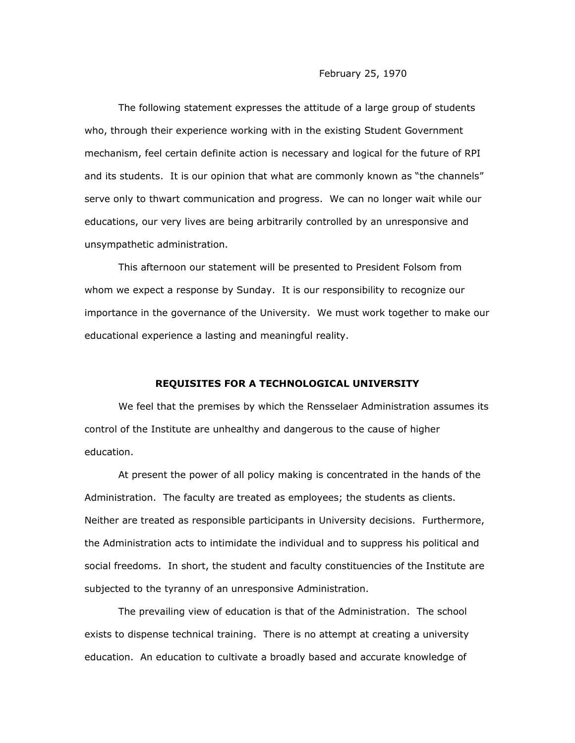The following statement expresses the attitude of a large group of students who, through their experience working with in the existing Student Government mechanism, feel certain definite action is necessary and logical for the future of RPI and its students. It is our opinion that what are commonly known as "the channels" serve only to thwart communication and progress. We can no longer wait while our educations, our very lives are being arbitrarily controlled by an unresponsive and unsympathetic administration.

This afternoon our statement will be presented to President Folsom from whom we expect a response by Sunday. It is our responsibility to recognize our importance in the governance of the University. We must work together to make our educational experience a lasting and meaningful reality.

## **REQUISITES FOR A TECHNOLOGICAL UNIVERSITY**

We feel that the premises by which the Rensselaer Administration assumes its control of the Institute are unhealthy and dangerous to the cause of higher education.

At present the power of all policy making is concentrated in the hands of the Administration. The faculty are treated as employees; the students as clients. Neither are treated as responsible participants in University decisions. Furthermore, the Administration acts to intimidate the individual and to suppress his political and social freedoms. In short, the student and faculty constituencies of the Institute are subjected to the tyranny of an unresponsive Administration.

The prevailing view of education is that of the Administration. The school exists to dispense technical training. There is no attempt at creating a university education. An education to cultivate a broadly based and accurate knowledge of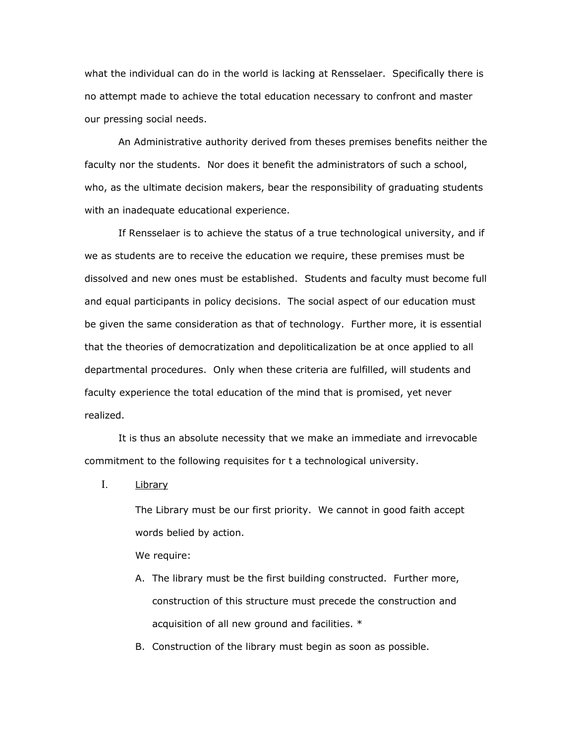what the individual can do in the world is lacking at Rensselaer. Specifically there is no attempt made to achieve the total education necessary to confront and master our pressing social needs.

An Administrative authority derived from theses premises benefits neither the faculty nor the students. Nor does it benefit the administrators of such a school, who, as the ultimate decision makers, bear the responsibility of graduating students with an inadequate educational experience.

If Rensselaer is to achieve the status of a true technological university, and if we as students are to receive the education we require, these premises must be dissolved and new ones must be established. Students and faculty must become full and equal participants in policy decisions. The social aspect of our education must be given the same consideration as that of technology. Further more, it is essential that the theories of democratization and depoliticalization be at once applied to all departmental procedures. Only when these criteria are fulfilled, will students and faculty experience the total education of the mind that is promised, yet never realized.

It is thus an absolute necessity that we make an immediate and irrevocable commitment to the following requisites for t a technological university.

I. Library

The Library must be our first priority. We cannot in good faith accept words belied by action.

We require:

- A. The library must be the first building constructed. Further more, construction of this structure must precede the construction and acquisition of all new ground and facilities. \*
- B. Construction of the library must begin as soon as possible.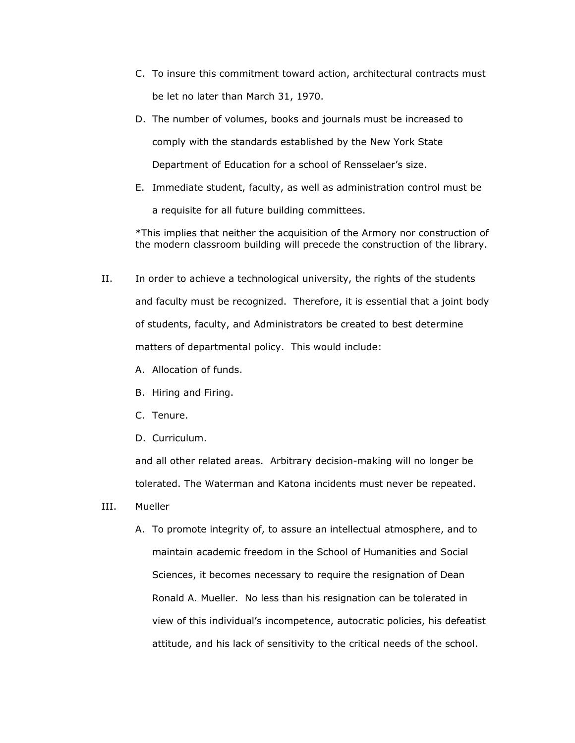- C. To insure this commitment toward action, architectural contracts must be let no later than March 31, 1970.
- D. The number of volumes, books and journals must be increased to comply with the standards established by the New York State Department of Education for a school of Rensselaer's size.
- E. Immediate student, faculty, as well as administration control must be a requisite for all future building committees.

\*This implies that neither the acquisition of the Armory nor construction of the modern classroom building will precede the construction of the library.

- II. In order to achieve a technological university, the rights of the students and faculty must be recognized. Therefore, it is essential that a joint body of students, faculty, and Administrators be created to best determine matters of departmental policy. This would include:
	- A. Allocation of funds.
	- B. Hiring and Firing.
	- C. Tenure.
	- D. Curriculum.

and all other related areas. Arbitrary decision-making will no longer be tolerated. The Waterman and Katona incidents must never be repeated.

- III. Mueller
	- A. To promote integrity of, to assure an intellectual atmosphere, and to maintain academic freedom in the School of Humanities and Social Sciences, it becomes necessary to require the resignation of Dean Ronald A. Mueller. No less than his resignation can be tolerated in view of this individual's incompetence, autocratic policies, his defeatist attitude, and his lack of sensitivity to the critical needs of the school.